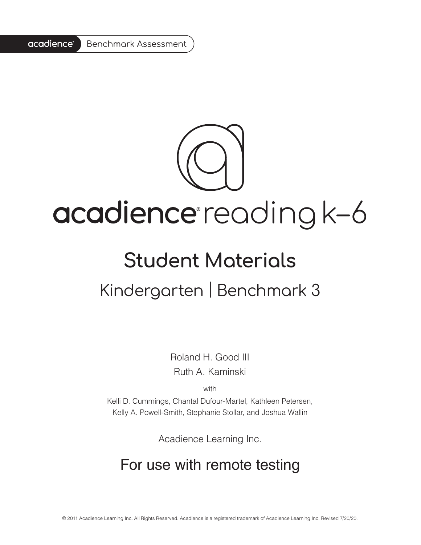#### acadience® Benchmark Assessment



## acadience reading k-6

# **Student Materials**

## Kindergarten | Benchmark 3

Roland H. Good III Ruth A. Kaminski

 $-$  with  $-$ 

Kelli D. Cummings, Chantal Dufour-Martel, Kathleen Petersen, Kelly A. Powell-Smith, Stephanie Stollar, and Joshua Wallin

Acadience Learning Inc.

#### For use with remote testing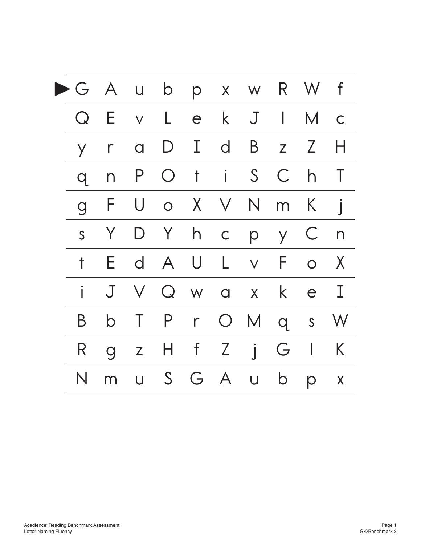|                |                | G A u b p x w R W f |              |       |             |              |                |              |
|----------------|----------------|---------------------|--------------|-------|-------------|--------------|----------------|--------------|
| $Q_{\cdot}$    | Е              | v L e k J I M c     |              |       |             |              |                |              |
| Y              | $\Gamma$       | $\alpha$            | $\mathsf{D}$ | I d   | $\mathsf B$ | $\mathsf{Z}$ | Z              | H            |
| $Q_{\cdot}$    | $\Gamma$       |                     | P O t i      |       |             | S C          | h              | $\top$       |
| $\overline{g}$ | F              |                     | U o X V N m  |       |             |              | $\sf K$        |              |
|                | Y .<br>S       |                     | D Y          | h c   |             | p y C        |                | $\sqrt{2}$   |
| t              | Ε              |                     | d A U L v F  |       |             |              | $\overline{O}$ | $\mathsf{X}$ |
|                | $\mathsf J$    |                     | V Q w a x    |       |             | $\mathsf{k}$ | e              | I            |
| Β              | $\mathsf b$    |                     | T P          | $r$ O |             | M q          | s W            |              |
| R              | $\overline{g}$ |                     | z H f Z      |       | $\int$      | G            | $\mathbf{L}$   | K            |
| N              | m              |                     | u S G A      |       | U           | $\mathsf{D}$ | p              | X            |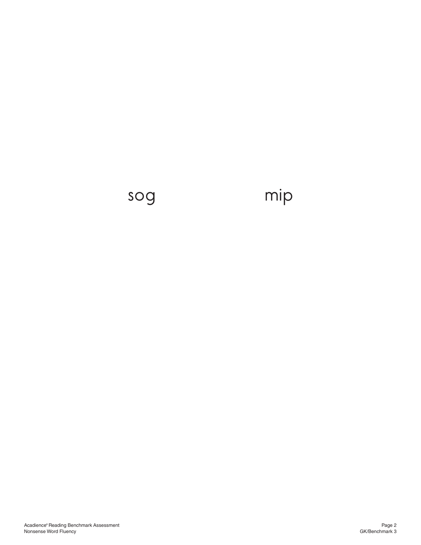### sog mip